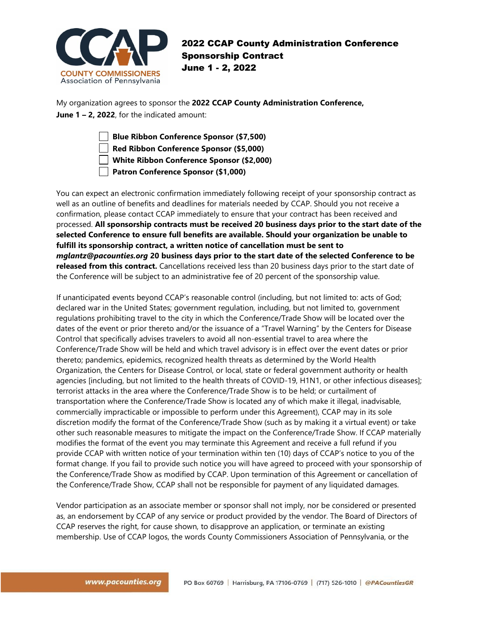

## 2022 CCAP County Administration Conference Sponsorship Contract June 1 - 2, 2022

My organization agrees to sponsor the **2022 CCAP County Administration Conference, June 1 – 2, 2022**, for the indicated amount:

**Blue Ribbon Conference Sponsor (\$7,500)**

**Red Ribbon Conference Sponsor (\$5,000)**

**White Ribbon Conference Sponsor (\$2,000)**

**Patron Conference Sponsor (\$1,000)**

You can expect an electronic confirmation immediately following receipt of your sponsorship contract as well as an outline of benefits and deadlines for materials needed by CCAP. Should you not receive a confirmation, please contact CCAP immediately to ensure that your contract has been received and processed. **All sponsorship contracts must be received 20 business days prior to the start date of the selected Conference to ensure full benefits are available. Should your organization be unable to fulfill its sponsorship contract, a written notice of cancellation must be sent to**  *mglantz@pacounties.org* **20 business days prior to the start date of the selected Conference to be released from this contract.** Cancellations received less than 20 business days prior to the start date of the Conference will be subject to an administrative fee of 20 percent of the sponsorship value.

If unanticipated events beyond CCAP's reasonable control (including, but not limited to: acts of God; declared war in the United States; government regulation, including, but not limited to, government regulations prohibiting travel to the city in which the Conference/Trade Show will be located over the dates of the event or prior thereto and/or the issuance of a "Travel Warning" by the Centers for Disease Control that specifically advises travelers to avoid all non-essential travel to area where the Conference/Trade Show will be held and which travel advisory is in effect over the event dates or prior thereto; pandemics, epidemics, recognized health threats as determined by the World Health Organization, the Centers for Disease Control, or local, state or federal government authority or health agencies [including, but not limited to the health threats of COVID-19, H1N1, or other infectious diseases]; terrorist attacks in the area where the Conference/Trade Show is to be held; or curtailment of transportation where the Conference/Trade Show is located any of which make it illegal, inadvisable, commercially impracticable or impossible to perform under this Agreement), CCAP may in its sole discretion modify the format of the Conference/Trade Show (such as by making it a virtual event) or take other such reasonable measures to mitigate the impact on the Conference/Trade Show. If CCAP materially modifies the format of the event you may terminate this Agreement and receive a full refund if you provide CCAP with written notice of your termination within ten (10) days of CCAP's notice to you of the format change. If you fail to provide such notice you will have agreed to proceed with your sponsorship of the Conference/Trade Show as modified by CCAP. Upon termination of this Agreement or cancellation of the Conference/Trade Show, CCAP shall not be responsible for payment of any liquidated damages.

Vendor participation as an associate member or sponsor shall not imply, nor be considered or presented as, an endorsement by CCAP of any service or product provided by the vendor. The Board of Directors of CCAP reserves the right, for cause shown, to disapprove an application, or terminate an existing membership. Use of CCAP logos, the words County Commissioners Association of Pennsylvania, or the